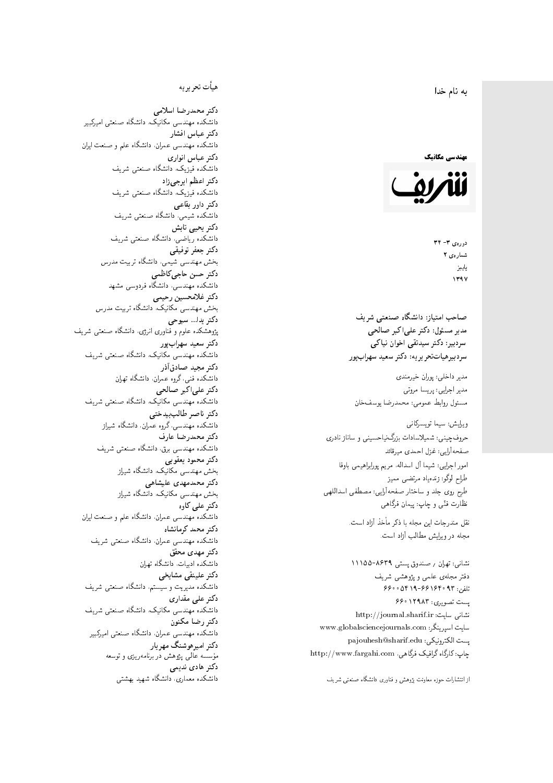#### $\overline{\phantom{a}}$ ز<br>ن به نام خدا .<br>.

### مهندسی مکانیک



دورەي ٣- ٣٢ شمارەي ۲ پاييز<br>. 1397

صاحب امتیاز: دانشگاه صنعتی شریف  $\mathfrak{c}$ مدیر مسئول: دکتر علیاکبر صالحی  $\mathfrak{c}$ سردېيرهياتتحر ير يه : دکتر سعيد سهراب پور سردبیر: دکتر سیدتقی اخوان نیاکی

مدير داخلى: پوران خيرمندى<br>. مدير اجرايي: پريسا مروتي<br>. مسئول روابط عمومی: محمدرضا يوسفخان<br>.

طراح لوگو: زندهیاد مرتضمی ممیز<br>ا طرح روی جلد و ساختار صفحهآرایی: مصطفی اسداللهی<br>مطلب منتقل نظارت فٽ<sub>ی</sub> و چاپ: پيمان فرگاه<sub>ی</sub><br>. حروفچینی: شمیلاسادات بزرگiیاحسینی و ساناز نادری صفحهآرایی: غزل احمدی میرقائد<br>امور اجرایی: شیما آل اسداله، مریم پورابراهیمی باوفا

نشانی: تهران / صندوق پستی ۸۶۳۹-۱۱۱۵۵ دفتر مجلهى علمى و پژوهشى شريف 7600 06196-669 و 660 و 66 پست تصویری: ۱۲۹۸۳ ۶۶۰ نشانی سایت: http://journal.sharif.ir<br>\* سایت اسپرینگر: www.globalsciencejournals.com<br>دادکست کو ساحت و که است pajouhesh@sharif.edu ;يست الكترونيكي: http://www.fargahi.com ، جاب: کارگاه گرافیک فرگاهی ویرایش: سیما تویسرکانی<br>حروفچینین: شمیلاسادات بزرگ نیاحسینی و ساناز نادری<br>امور اجرایی: شیما آل اسداله، مریم پورابراهیمی باوفا<br>طرح لرگو: زندهیاد مرتضی ممیز<br>طرح لرگو: ترید و ساختار صفحهآلیی: مصطفی اسداللهم<br>نقاست قنی و چهار ا

### هيأت تحريريه

دكتر محمدرضا اسلامى مکانیک، دانشگاه صنعتی امیرکبیر<br>. دكتر عباس افشار دانشکده مهندسی عمران، دانشگاه علم و صنعت ایران<br>بحمد مصلحات دكتر عباس انوارى دانشکده فیزیک، دانشگاه صنعتبی شریف<br>محمد استانسا دکتر اعظم ايرجى زاد ، دانشگاه صنعتبی شریف<br>. دکتر داور بقاع**ی** دانشکده شیمی، دانشگاه صنعتی شریف<br>دکتر یحیی تابش دانشکده ریاضی، دانشگاه صنعتی شریف<br>برمسمنستانستان دكتر جعفر توفيقي بخش مهندسی شیمی، دانشگاه تربیت مدرس<br>سم دكتر حسن حاجىكاظمي دانشکده مهندسی، دانشگاه فردوسی مشهد<br>کستفلار م دكتر غلامحسين رحيمي هندسی مکانیک، دانشگاه تربیت مدرس<br>ا دکتر یدا... سبوحی یژوهشکده علوم و فناوری انرژی، دانشگاه صنعتی شریف دکتر سعید سهرابپور<br>دانشکده مهندسی مکانیک، دانشگاه صنعتی شریف دکتر مجيد صادقاذر ا<br>. دانشکده فنی، گروه عمران، دانشگاه تهران<br>یکتریهای ایکمیسیا دکتر علیاکبر صالحی = دانشکده مهندسی مکانیک، دانشگاه صنعتی شریف<br>یکستا دکتر ناصر طالب بیدختی r  $\mathfrak{c}$ دانشکده مهندسی، گروه عمران، دانشگاه شیراز<br>مکتب مصدر مقبل علم دكتر محمدرضا عارف دانشکده مهندسی برق، دانشگاه صنعتی شریف<br><mark>دکتر محمود یعقوبی</mark> هندسی مکانیک، دانشگاه شیراز<br>مسدوده مصلوفیاه دکتر محمدمهدی علیشاهی بخش مهندسی مکانیک، دانشگاه شیراز<br>مکتبهای کابی دکتر علی کاوہ دانشکده مهندسی عمران، دانشگاه علم و صنعت ایران<br>بحت دکتر محمد کرمانشاه .<br>. دانشکده مهندسی عمران، دانشگاه صنعتی شریف<br>مکتبر دولت مستق دکتر مهد*ی* محقق دانشکده ادبیات، دانشگاه تهران دکتر علینقی مشایخ<u>ی</u> دانشکده مدیریت و سیستم، دانشگاه صنعتبی شریف<br>محمد باست دکتر علے<sub>،</sub> مقداری مکانیک، دانشگاه صنعتی شریف<br>. دكتر رضا مكنون دانشکده مهندسی عمران. دانشگاه صنعتی امیرکبیر<br>محمد است میگ دکتر امیرهوشنگ مهریار سه عالمی پژوهش در برنامهریزی و توسعه<br>۱۹ادم خار موسه<br>بر ءُ<br>ك دکتر هادی ندیمی  $\overline{a}$ المحلكة المسلمانية التي تتوقف المسلمان التي تتوقف المسلمان المسلمان المسلمان المسلمان المسلمان المسلمان المسلم<br>المسلمان المسلمان المسلمان المسلمان المسلمان المسلمان المسلمان المسلمان المسلمان المسلمان المسلمان المسلمان ال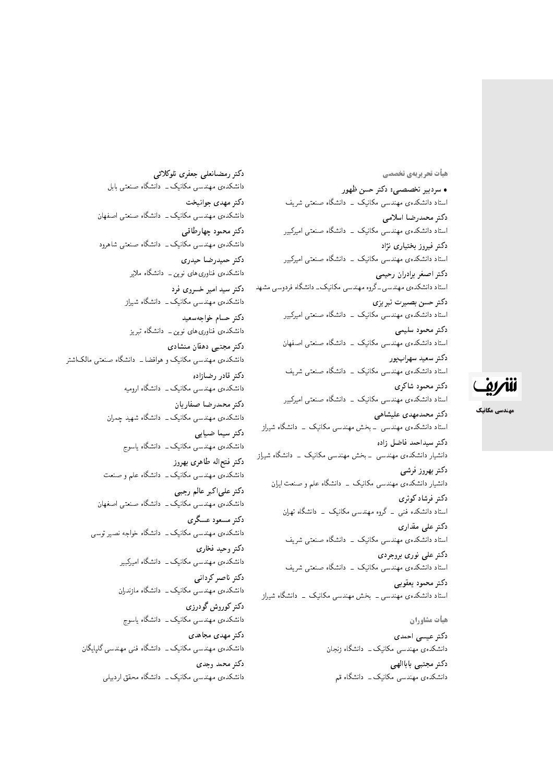هیأت تحریریهی تخصصی

• سردبیر تخصصبی: دکتر حسن ظهور استاد دانشکدهی مهندسی مکانیک \_ دانشگاه صنعتی شریف دكتر محمدرضا اسلامى استاد دانشکدهی مهندسی مکانیک <mark>ـ دانشگاه صنعتی امیرکبیر</mark> دکتر فیروز بختیاری نژاد استاد دانشکدهی مهندسی مکانیک - دانشگاه صنعتی امیرکبیر دكتر اصغر برادران رحيمي استاد دانشکدهی مهندسی ـ گروه مهندسی مکانیک ـ دانشگاه فردوسی مشهد دكتر حسن بصيرت تبريزي استاد دانشکدهی مهندسی مکانیک <mark>ـ دانشگاه صنعتی امیرکبیر</mark> دكتر محمود سليمي استاد دانشکدهی مهندسی مکانیک - دانشگاه صنعتی اصفهان دكتر سعيد سهراب پور استاد دانشکدهی مهندسی مکانیک \_ دانشگاه صنعتی شریف دكتر محمود شاكري استاد دانشکدهی مهندسی مکانیک \_ دانشگاه صنعتی امیرکبیر دکتر محمدمهدی علیشاهی استاد دانشکدهی مهندسی ــ بخش مهندسی مکانیک ــ دانشگاه شی<sub>ل</sub>از دكتر سيداحمد فاضل زاده دانشیار دانشکدهی مهندسی <mark>ـ بخش مهندسی مکانیک ـ دانشگاه شیراز</mark> دكتر بهروز فرشى دانشیار دانشکدهی مهندسی مکانیک – دانشگاه علم و صنعت ایران دکت<sub></sub>ر فرشادکوثری استاد دانشکده فنی \_ گروه مهندسی مکانیک \_ دانشگاه تهران دکتر علی مقدار*ی* استاد دانشکدهی مهندسی مکانیک <mark>ـ دانشگاه صنعتی شریف</mark> دکتر علی نوری بروجردی استاد دانشکدهی مهندسی مکانیک ــ دانشگاه صنعتی شریف دكتر محمود يعقوبي استاد دانشکدهی مهندسی ـ بخش مهندسی مکانیک ـ دانشگاه شیراز

هيأت مشاوران دکتر عیسی احمدی دانشکدهی مهندسی مکانیک ــ دانشگاه زنجان :كتر مجتبى باباالهى دانشکدهی مهندس<sub>ی</sub> مکانیک ــ دانشگاه قم

دكتر رمضانعلى جعفرى تلوكلائبي دانشکدهی مهندسی مکانیک ــ دانشگاه صنعتی بابل دکتر مهدی جوانبخت دانشکدهی مهندسی مکانیک ــ دانشگاه صنعتی اصفهان دكتر محمود چهارطاقبي دانشکدهی مهندسی مکانیک ــ دانشگاه صنعتبی شاهرود دكتر حميدرضا حيدري دانشکدهی فناوریهای نوین ــ دانشگاه ملایر دکتر سید امیر خسروی فرد دانشکدهی مهندسی مکانیک ــ دانشگاه شیراز دكتر حسام خواجه سعيد دانشکدهی فناوریهای نوین ــ دانشگاه تبریز دکتر مجتبی دهقان منشادی دانشکده، مهندسی مکانیک و هوافضا ــ دانشگاه صنعتی مالک\شتر دكتر قادر رضازاده دانشکدهی مهندسی مکانیک ــ دانشگاه ارومیه دكتر محمدرضا صفاريان دانشکدهی مهندسی مکانیک ــ دانشگاه شهید چمران دكتر سيما ضيابي دانشکدهی مهندسی مکانیک ــ دانشگاه یاسوج دكتر فتجاله طاهرى بهروز دانشکدهی مهندسی مکانیک ــ دانشگاه علم و صنعت دكتر علىاكبر عالم رجبي دانشکدهی مهندسی مکانیک ــ دانشگاه صنعتی اصغهان دکتر مسعود عسگری دانشکدهی مهندسی مکانیک ــ دانشگاه خواجه نصیر توسی دکتر وحید فخار*ی* دانشکدهی مهندسی مکانیک ــ دانشگاه امیرکبیر دكتر ناصر كردانى دانشکدهی مهندسی مکانیک ــ دانشگاه مازندران دكتر كوروش گودرزي دانشکدهی مهندسی مکانیک ــ دانشگاه یاسوج دكتر مهدى مجاهدى دانشکدهی مهندسی مکانیک ــ دانشگاه فنی مهندسی گلیایگان دكتر محمد وجدى دانشکدهی مهندسی مکانیک \_ دانشگاه محقق اردبیلی



مهندسی مکانیک